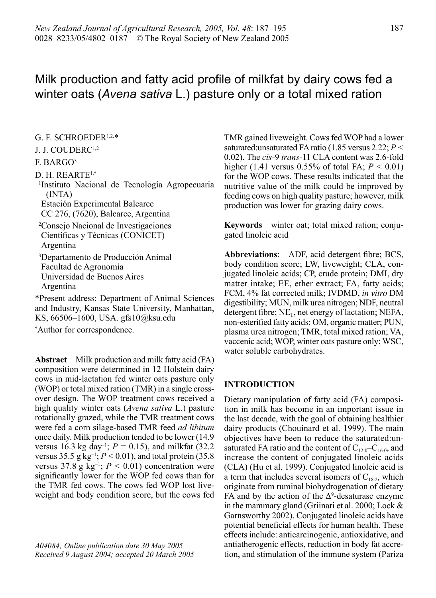# Milk production and fatty acid profile of milkfat by dairy cows fed a winter oats (*Avena sativa* L.) pasture only or a total mixed ration

# G. F. SCHROEDER1,2,\*

## J. J. COUDERC1,2

# F. BARGO3

D. H. REARTE1,†

1 Instituto Nacional de Tecnología Agropecuaria (INTA)

Estación Experimental Balcarce CC 276, (7620), Balcarce, Argentina

2 Consejo Nacional de Investigaciones

Científicas y Técnicas (CONICET) Argentina

3 Departamento de Producción Animal Facultad de Agronomía Universidad de Buenos Aires Argentina

\*Present address: Department of Animal Sciences and Industry, Kansas State University, Manhattan, KS, 66506–1600, USA. gfs10@ksu.edu

† Author for correspondence.

**Abstract** Milk production and milk fatty acid (FA) composition were determined in 12 Holstein dairy cows in mid-lactation fed winter oats pasture only (WOP) or total mixed ration (TMR) in a single crossover design. The WOP treatment cows received a high quality winter oats (*Avena sativa* L.) pasture rotationally grazed, while the TMR treatment cows were fed a corn silage-based TMR feed *ad libitum* once daily. Milk production tended to be lower (14.9 versus 16.3 kg day<sup>-1</sup>;  $P = 0.15$ ), and milkfat (32.2) versus 35.5 g kg<sup>-1</sup>;  $P < 0.01$ ), and total protein (35.8) versus 37.8 g  $kg^{-1}$ ;  $P < 0.01$ ) concentration were significantly lower for the WOP fed cows than for the TMR fed cows. The cows fed WOP lost liveweight and body condition score, but the cows fed

*A04084; Online publication date 30 May 2005 Received 9 August 2004; accepted 20 March 2005* TMR gained liveweight. Cows fed WOP had a lower saturated:unsaturated FA ratio (1.85 versus 2.22; *P <* 0.02). The *cis-*9 *trans-*11 CLA content was 2.6-fold higher  $(1.41 \text{ versus } 0.55\% \text{ of total FA}: P \leq 0.01)$ for the WOP cows. These results indicated that the nutritive value of the milk could be improved by feeding cows on high quality pasture; however, milk production was lower for grazing dairy cows.

**Keywords** winter oat; total mixed ration; conjugated linoleic acid

**Abbreviations**: ADF, acid detergent fibre; BCS, body condition score; LW, liveweight; CLA, conjugated linoleic acids; CP, crude protein; DMI, dry matter intake; EE, ether extract; FA, fatty acids; FCM, 4% fat corrected milk; IVDMD, *in vitro* DM digestibility; MUN, milk urea nitrogen; NDF, neutral detergent fibre;  $NE<sub>L</sub>$ , net energy of lactation; NEFA, non-esterified fatty acids; OM, organic matter; PUN, plasma urea nitrogen; TMR, total mixed ration; VA, vaccenic acid; WOP, winter oats pasture only; WSC, water soluble carbohydrates.

# **INTRODUCTION**

Dietary manipulation of fatty acid (FA) composition in milk has become in an important issue in the last decade, with the goal of obtaining healthier dairy products (Chouinard et al. 1999). The main objectives have been to reduce the saturated:unsaturated FA ratio and the content of  $C_{12:0}-C_{16:0}$ , and increase the content of conjugated linoleic acids (CLA) (Hu et al. 1999). Conjugated linoleic acid is a term that includes several isomers of  $C_{18.2}$ , which originate from ruminal biohydrogenation of dietary FA and by the action of the  $\Delta^9$ -desaturase enzyme in the mammary gland (Griinari et al. 2000; Lock & Garnsworthy 2002). Conjugated linoleic acids have potential beneficial effects for human health. These effects include: anticarcinogenic, antioxidative, and antiatherogenic effects, reduction in body fat accretion, and stimulation of the immune system (Pariza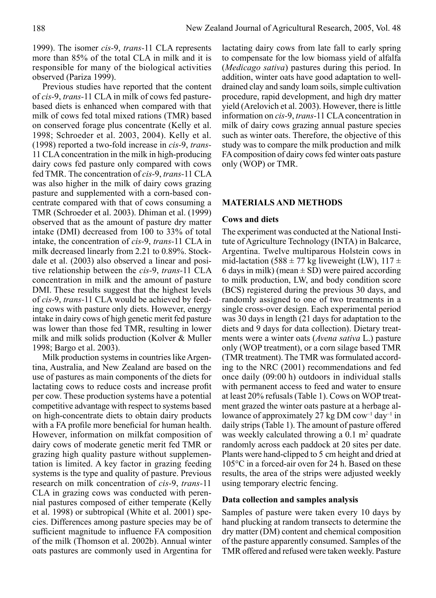1999). The isomer *cis-*9, *trans-*11 CLA represents more than 85% of the total CLA in milk and it is responsible for many of the biological activities observed (Pariza 1999).

 Previous studies have reported that the content of *cis-*9, *trans-*11 CLA in milk of cows fed pasturebased diets is enhanced when compared with that milk of cows fed total mixed rations (TMR) based on conserved forage plus concentrate (Kelly et al. 1998; Schroeder et al. 2003, 2004). Kelly et al. (1998) reported a two-fold increase in *cis-*9, *trans-*11 CLA concentration in the milk in high-producing dairy cows fed pasture only compared with cows fed TMR. The concentration of *cis-*9, *trans-*11 CLA was also higher in the milk of dairy cows grazing pasture and supplemented with a corn-based concentrate compared with that of cows consuming a TMR (Schroeder et al. 2003). Dhiman et al. (1999) observed that as the amount of pasture dry matter intake (DMI) decreased from 100 to 33% of total intake, the concentration of *cis-*9, *trans-*11 CLA in milk decreased linearly from 2.21 to 0.89%. Stockdale et al. (2003) also observed a linear and positive relationship between the *cis-*9, *trans-*11 CLA concentration in milk and the amount of pasture DMI. These results suggest that the highest levels of *cis-*9, *trans-*11 CLA would be achieved by feeding cows with pasture only diets. However, energy intake in dairy cows of high genetic merit fed pasture was lower than those fed TMR, resulting in lower milk and milk solids production (Kolver & Muller 1998; Bargo et al. 2003).

 Milk production systems in countries like Argentina, Australia, and New Zealand are based on the use of pastures as main components of the diets for lactating cows to reduce costs and increase profit per cow. These production systems have a potential competitive advantage with respect to systems based on high-concentrate diets to obtain dairy products with a FA profile more beneficial for human health. However, information on milkfat composition of dairy cows of moderate genetic merit fed TMR or grazing high quality pasture without supplementation is limited. A key factor in grazing feeding systems is the type and quality of pasture. Previous research on milk concentration of *cis-*9, *trans-*11 CLA in grazing cows was conducted with perennial pastures composed of either temperate (Kelly et al. 1998) or subtropical (White et al. 2001) species. Differences among pasture species may be of sufficient magnitude to influence FA composition of the milk (Thomson et al. 2002b). Annual winter oats pastures are commonly used in Argentina for

lactating dairy cows from late fall to early spring to compensate for the low biomass yield of alfalfa (*Medicago sativa*) pastures during this period. In addition, winter oats have good adaptation to welldrained clay and sandy loam soils, simple cultivation procedure, rapid development, and high dry matter yield (Arelovich et al. 2003). However, there is little information on *cis-*9, *trans-*11 CLA concentration in milk of dairy cows grazing annual pasture species such as winter oats. Therefore, the objective of this study was to compare the milk production and milk FA composition of dairy cows fed winter oats pasture only (WOP) or TMR.

# **MATERIALS AND METHODS**

# **Cows and diets**

The experiment was conducted at the National Institute of Agriculture Technology (INTA) in Balcarce, Argentina. Twelve multiparous Holstein cows in mid-lactation (588  $\pm$  77 kg liveweight (LW), 117  $\pm$ 6 days in milk) (mean  $\pm$  SD) were paired according to milk production, LW, and body condition score (BCS) registered during the previous 30 days, and randomly assigned to one of two treatments in a single cross-over design. Each experimental period was 30 days in length (21 days for adaptation to the diets and 9 days for data collection). Dietary treatments were a winter oats (*Avena sativa* L.) pasture only (WOP treatment), or a corn silage based TMR (TMR treatment). The TMR was formulated according to the NRC (2001) recommendations and fed once daily (09:00 h) outdoors in individual stalls with permanent access to feed and water to ensure at least 20% refusals (Table 1). Cows on WOP treatment grazed the winter oats pasture at a herbage allowance of approximately 27 kg DM cow<sup>-1</sup> day<sup>-1</sup> in daily strips (Table 1). The amount of pasture offered was weekly calculated throwing a  $0.1 \text{ m}^2$  quadrate randomly across each paddock at 20 sites per date. Plants were hand-clipped to 5 cm height and dried at 105°C in a forced-air oven for 24 h. Based on these results, the area of the strips were adjusted weekly using temporary electric fencing.

## **Data collection and samples analysis**

Samples of pasture were taken every 10 days by hand plucking at random transects to determine the dry matter (DM) content and chemical composition of the pasture apparently consumed. Samples of the TMR offered and refused were taken weekly. Pasture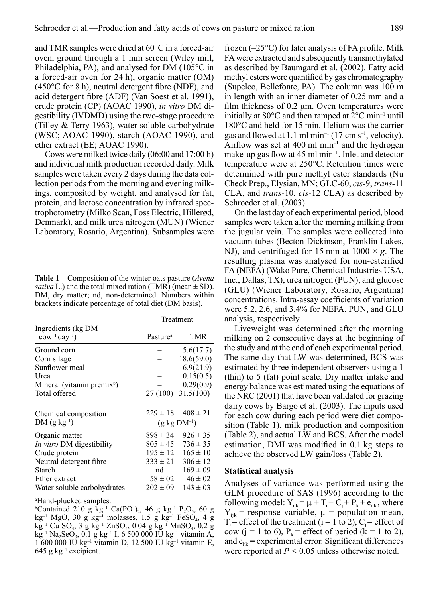and TMR samples were dried at 60°C in a forced-air oven, ground through a 1 mm screen (Wiley mill, Philadelphia, PA), and analysed for DM (105°C in a forced-air oven for 24 h), organic matter (OM) (450°C for 8 h), neutral detergent fibre (NDF), and acid detergent fibre (ADF) (Van Soest et al. 1991), crude protein (CP) (AOAC 1990), *in vitro* DM digestibility (IVDMD) using the two-stage procedure (Tilley & Terry 1963), water-soluble carbohydrate (WSC; AOAC 1990), starch (AOAC 1990), and ether extract (EE; AOAC 1990).

Cows were milked twice daily (06:00 and 17:00 h) and individual milk production recorded daily. Milk samples were taken every 2 days during the data collection periods from the morning and evening milkings, composited by weight, and analysed for fat, protein, and lactose concentration by infrared spectrophotometry (Milko Scan, Foss Electric, Hillerød, Denmark), and milk urea nitrogen (MUN) (Wiener Laboratory, Rosario, Argentina). Subsamples were

**Table 1** Composition of the winter oats pasture (*Avena sativa* L.) and the total mixed ration (TMR) (mean  $\pm$  SD). DM, dry matter; nd, non-determined. Numbers within brackets indicate percentage of total diet (DM basis).

|                                                             | Treatment                 |                     |  |
|-------------------------------------------------------------|---------------------------|---------------------|--|
| Ingredients (kg DM<br>$\text{cow}^{-1}$ day <sup>-1</sup> ) | Pasture <sup>a</sup>      | TMR                 |  |
| Ground corn                                                 |                           | 5.6(17.7)           |  |
| Corn silage                                                 |                           | 18.6(59.0)          |  |
| Sunflower meal                                              |                           | 6.9(21.9)           |  |
| Urea                                                        |                           | 0.15(0.5)           |  |
| Mineral (vitamin premix <sup>b</sup> )                      |                           | 0.29(0.9)           |  |
| Total offered                                               |                           | 27 (100) 31.5 (100) |  |
| Chemical composition                                        | $229 \pm 18$              | $408 \pm 21$        |  |
| $DM(gkg^{-1})$                                              | $(g \text{ kg } DM^{-1})$ |                     |  |
| Organic matter                                              | $898 \pm 34$              | $926 \pm 35$        |  |
| <i>In vitro</i> DM digestibility                            | $805 \pm 45$              | $736 \pm 35$        |  |
| Crude protein                                               | $195 \pm 12$              | $165 \pm 10$        |  |
| Neutral detergent fibre                                     | $333 \pm 21$              | $306 \pm 12$        |  |
| Starch                                                      | nd                        | $169 \pm 09$        |  |
| Ether extract                                               | $58 \pm 02$               | $46 \pm 02$         |  |
| Water soluble carbohydrates                                 | $202 \pm 09$              | $143 \pm 03$        |  |

a Hand-plucked samples.

<sup>b</sup>Contained 210 g kg<sup>-1</sup> Ca(PO<sub>4</sub>)<sub>2</sub>, 46 g kg<sup>-1</sup> P<sub>2</sub>O<sub>5</sub>, 60 g kg<sup>-1</sup> MgO, 30 g kg<sup>-1</sup> molasses, 1.5 g kg<sup>-1</sup> FeSO<sub>4</sub>, 4 g  $k\overline{g}^{-1}$  Cu SO<sub>4</sub>, 3 g kg<sup>-1</sup> ZnSO<sub>4</sub>, 0.04 g kg<sup>-1</sup> MnSO<sub>4</sub>, 0.2 g  $kg^{-1}$  Na<sub>2</sub>SeO<sub>3</sub>, 0.1 g kg<sup>-1</sup> I, 6 500 000 IU kg<sup>-1</sup> vitamin A, 1 600 000 IU kg–1 vitamin D, 12 500 IU kg–1 vitamin E,  $645$  g kg<sup>-1</sup> excipient.

frozen (–25°C) for later analysis of FA profile. Milk FA were extracted and subsequently transmethylated as described by Baumgard et al. (2002). Fatty acid methyl esters were quantified by gas chromatography (Supelco, Bellefonte, PA). The column was 100 m in length with an inner diameter of 0.25 mm and a film thickness of 0.2 μm. Oven temperatures were initially at  $80^{\circ}$ C and then ramped at  $2^{\circ}$ C min<sup>-1</sup> until 180°C and held for 15 min. Helium was the carrier gas and flowed at 1.1 ml min<sup>-1</sup> (17 cm s<sup>-1</sup>, velocity). Airflow was set at 400 ml  $min^{-1}$  and the hydrogen make-up gas flow at 45 ml min–1. Inlet and detector temperature were at 250°C. Retention times were determined with pure methyl ester standards (Nu Check Prep., Elysian, MN; GLC-60, *cis-*9, *trans-*11 CLA, and *trans-*10, *cis-*12 CLA) as described by Schroeder et al. (2003).

 On the last day of each experimental period, blood samples were taken after the morning milking from the jugular vein. The samples were collected into vacuum tubes (Becton Dickinson, Franklin Lakes, NJ), and centrifuged for 15 min at  $1000 \times g$ . The resulting plasma was analysed for non-esterified FA (NEFA) (Wako Pure, Chemical Industries USA, Inc., Dallas, TX), urea nitrogen (PUN), and glucose (GLU) (Wiener Laboratory, Rosario, Argentina) concentrations. Intra-assay coefficients of variation were 5.2, 2.6, and 3.4% for NEFA, PUN, and GLU analysis, respectively.

 Liveweight was determined after the morning milking on 2 consecutive days at the beginning of the study and at the end of each experimental period. The same day that LW was determined, BCS was estimated by three independent observers using a 1 (thin) to 5 (fat) point scale. Dry matter intake and energy balance was estimated using the equations of the NRC (2001) that have been validated for grazing dairy cows by Bargo et al. (2003). The inputs used for each cow during each period were diet composition (Table 1), milk production and composition (Table 2), and actual LW and BCS. After the model estimation, DMI was modified in 0.1 kg steps to achieve the observed LW gain/loss (Table 2).

#### **Statistical analysis**

Analyses of variance was performed using the GLM procedure of SAS (1996) according to the following model:  $Y_{ijk} = \mu + T_i + C_i + P_k + e_{ijk}$ , where  $Y_{ijk}$  = response variable,  $\mu$  = population mean,  $T_i$  = effect of the treatment (i = 1 to 2),  $C_i$  = effect of cow (j = 1 to 6),  $P_k$  = effect of period (k = 1 to 2), and  $e_{ijk}$  = experimental error. Significant differences were reported at *P <* 0.05 unless otherwise noted.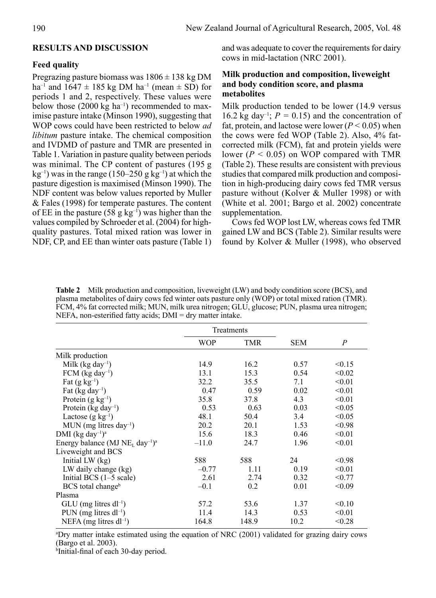# **RESULTS AND DISCUSSION**

# **Feed quality**

Pregrazing pasture biomass was  $1806 \pm 138$  kg DM ha<sup>-1</sup> and  $1647 \pm 185$  kg DM ha<sup>-1</sup> (mean  $\pm$  SD) for periods 1 and 2, respectively. These values were below those  $(2000 \text{ kg ha}^{-1})$  recommended to maximise pasture intake (Minson 1990), suggesting that WOP cows could have been restricted to below *ad libitum* pasture intake. The chemical composition and IVDMD of pasture and TMR are presented in Table 1. Variation in pasture quality between periods was minimal. The CP content of pastures (195 g  $kg^{-1}$ ) was in the range (150–250 g kg<sup>-1</sup>) at which the pasture digestion is maximised (Minson 1990). The NDF content was below values reported by Muller & Fales (1998) for temperate pastures. The content of EE in the pasture (58 g kg<sup>-1</sup>) was higher than the values compiled by Schroeder et al. (2004) for highquality pastures. Total mixed ration was lower in NDF, CP, and EE than winter oats pasture (Table 1) and was adequate to cover the requirements for dairy cows in mid-lactation (NRC 2001).

# **Milk production and composition, liveweight and body condition score, and plasma metabolites**

Milk production tended to be lower (14.9 versus 16.2 kg day<sup>-1</sup>;  $P = 0.15$ ) and the concentration of fat, protein, and lactose were lower  $(P < 0.05)$  when the cows were fed WOP (Table 2). Also, 4% fatcorrected milk (FCM), fat and protein yields were lower  $(P < 0.05)$  on WOP compared with TMR (Table 2). These results are consistent with previous studies that compared milk production and composition in high-producing dairy cows fed TMR versus pasture without (Kolver & Muller 1998) or with (White et al. 2001; Bargo et al. 2002) concentrate supplementation.

 Cows fed WOP lost LW, whereas cows fed TMR gained LW and BCS (Table 2). Similar results were found by Kolver & Muller (1998), who observed

**Table 2** Milk production and composition, liveweight (LW) and body condition score (BCS), and plasma metabolites of dairy cows fed winter oats pasture only (WOP) or total mixed ration (TMR). FCM, 4% fat corrected milk; MUN, milk urea nitrogen; GLU, glucose; PUN, plasma urea nitrogen; NEFA, non-esterified fatty acids; DMI = dry matter intake.

|                                                                     | Treatments |            |            |                |
|---------------------------------------------------------------------|------------|------------|------------|----------------|
|                                                                     | <b>WOP</b> | <b>TMR</b> | <b>SEM</b> | $\overline{P}$ |
| Milk production                                                     |            |            |            |                |
| Milk (kg day <sup>-1</sup> )                                        | 14.9       | 16.2       | 0.57       | < 0.15         |
| $FCM$ (kg day <sup>-1</sup> )                                       | 13.1       | 15.3       | 0.54       | < 0.02         |
| Fat $(g \text{ kg}^{-1})$                                           | 32.2       | 35.5       | 7.1        | < 0.01         |
| Fat $(kg day^{-1})$                                                 | 0.47       | 0.59       | 0.02       | < 0.01         |
| Protein $(g \text{ kg}^{-1})$                                       | 35.8       | 37.8       | 4.3        | < 0.01         |
| Protein ( $kg \, day^{-1}$ )                                        | 0.53       | 0.63       | 0.03       | < 0.05         |
| Lactose $(g \ kg^{-1})$                                             | 48.1       | 50.4       | 3.4        | < 0.05         |
| MUN (mg litres day <sup>-1</sup> )                                  | 20.2       | 20.1       | 1.53       | < 0.98         |
| DMI (kg day <sup>-1</sup> ) <sup>a</sup>                            | 15.6       | 18.3       | 0.46       | < 0.01         |
| Energy balance (MJ NE <sub>L</sub> day <sup>-1</sup> ) <sup>a</sup> | $-11.0$    | 24.7       | 1.96       | < 0.01         |
| Liveweight and BCS                                                  |            |            |            |                |
| Initial LW $(kg)$                                                   | 588        | 588        | 24         | < 0.98         |
| LW daily change (kg)                                                | $-0.77$    | 1.11       | 0.19       | < 0.01         |
| Initial BCS (1-5 scale)                                             | 2.61       | 2.74       | 0.32       | < 0.77         |
| $BCS$ total change <sup>b</sup>                                     | $-0.1$     | 0.2        | 0.01       | < 0.09         |
| Plasma                                                              |            |            |            |                |
| $GLU$ (mg litres dl <sup>-1</sup> )                                 | 57.2       | 53.6       | 1.37       | < 0.10         |
| PUN (mg litres $dl^{-1}$ )                                          | 11.4       | 14.3       | 0.53       | < 0.01         |
| NEFA (mg litres $dl^{-1}$ )                                         | 164.8      | 148.9      | 10.2       | < 0.28         |

a Dry matter intake estimated using the equation of NRC (2001) validated for grazing dairy cows (Bargo et al. 2003).

b Initial-final of each 30-day period.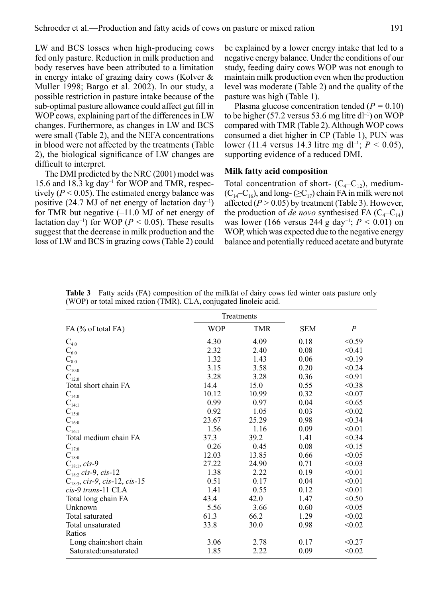LW and BCS losses when high-producing cows fed only pasture. Reduction in milk production and body reserves have been attributed to a limitation in energy intake of grazing dairy cows (Kolver & Muller 1998; Bargo et al. 2002). In our study, a possible restriction in pasture intake because of the sub-optimal pasture allowance could affect gut fill in WOP cows, explaining part of the differences in LW changes. Furthermore, as changes in LW and BCS were small (Table 2), and the NEFA concentrations in blood were not affected by the treatments (Table 2), the biological significance of LW changes are difficult to interpret.

 The DMI predicted by the NRC (2001) model was 15.6 and 18.3 kg day–1 for WOP and TMR, respectively  $(P < 0.05)$ . The estimated energy balance was positive (24.7 MJ of net energy of lactation day<sup>-1</sup>) for TMR but negative (–11.0 MJ of net energy of lactation day<sup>-1</sup>) for WOP ( $P < 0.05$ ). These results suggest that the decrease in milk production and the loss of LW and BCS in grazing cows (Table 2) could be explained by a lower energy intake that led to a negative energy balance. Under the conditions of our study, feeding dairy cows WOP was not enough to maintain milk production even when the production level was moderate (Table 2) and the quality of the pasture was high (Table 1).

 Plasma glucose concentration tended (*P =* 0.10) to be higher (57.2 versus 53.6 mg litre dl<sup>-1</sup>) on WOP compared with TMR (Table 2). Although WOP cows consumed a diet higher in CP (Table 1), PUN was lower (11.4 versus 14.3 litre mg dl<sup>-1</sup>;  $P < 0.05$ ), supporting evidence of a reduced DMI.

# **Milk fatty acid composition**

Total concentration of short-  $(C_4-C_1)$ , medium- $(C_{14}-C_{16})$ , and long- ( $\geq C_{17}$ ) chain FA in milk were not affected  $(P > 0.05)$  by treatment (Table 3). However, the production of *de novo* synthesised FA  $(C_4-C_{14})$ was lower (166 versus 244 g day–1; *P <* 0.01) on WOP, which was expected due to the negative energy balance and potentially reduced acetate and butyrate

|                                    | Treatments |            |            |                  |
|------------------------------------|------------|------------|------------|------------------|
| FA (% of total FA)                 | <b>WOP</b> | <b>TMR</b> | <b>SEM</b> | $\boldsymbol{P}$ |
| $C_{4:0}$                          | 4.30       | 4.09       | 0.18       | < 0.59           |
| $C_{6:0}$                          | 2.32       | 2.40       | 0.08       | < 0.41           |
| $\mathrm{C}_{8:0}$                 | 1.32       | 1.43       | 0.06       | < 0.19           |
| $C_{10:0}$                         | 3.15       | 3.58       | 0.20       | < 0.24           |
| $C_{12:0}$                         | 3.28       | 3.28       | 0.36       | < 0.91           |
| Total short chain FA               | 14.4       | 15.0       | 0.55       | < 0.38           |
| $\mathbf{C}_{14:0}$                | 10.12      | 10.99      | 0.32       | < 0.07           |
| $\mathbf{C}_{14:1}$                | 0.99       | 0.97       | 0.04       | < 0.65           |
| $C_{15:0}$                         | 0.92       | 1.05       | 0.03       | < 0.02           |
| $\mathbf{C}_{16:0}$                | 23.67      | 25.29      | 0.98       | < 0.34           |
| $\mathbf{C}_{16:1}$                | 1.56       | 1.16       | 0.09       | < 0.01           |
| Total medium chain FA              | 37.3       | 39.2       | 1.41       | < 0.34           |
| $\mathbf{C}_{17:0}$                | 0.26       | 0.45       | 0.08       | < 0.15           |
| $\mathbf{C}_{18:0}$                | 12.03      | 13.85      | 0.66       | < 0.05           |
| $C_{18:1}$ , cis-9                 | 27.22      | 24.90      | 0.71       | < 0.03           |
| $C_{18:2}$ cis-9, cis-12           | 1.38       | 2.22       | 0.19       | < 0.01           |
| $C_{18:3}$ , cis-9, cis-12, cis-15 | 0.51       | 0.17       | 0.04       | < 0.01           |
| cis-9 trans-11 CLA                 | 1.41       | 0.55       | 0.12       | < 0.01           |
| Total long chain FA                | 43.4       | 42.0       | 1.47       | < 0.50           |
| Unknown                            | 5.56       | 3.66       | 0.60       | < 0.05           |
| Total saturated                    | 61.3       | 66.2       | 1.29       | < 0.02           |
| Total unsaturated                  | 33.8       | 30.0       | 0.98       | < 0.02           |
| Ratios                             |            |            |            |                  |
| Long chain: short chain            | 3.06       | 2.78       | 0.17       | < 0.27           |
| Saturated:unsaturated              | 1.85       | 2.22       | 0.09       | < 0.02           |

**Table 3** Fatty acids (FA) composition of the milkfat of dairy cows fed winter oats pasture only (WOP) or total mixed ration (TMR). CLA, conjugated linoleic acid.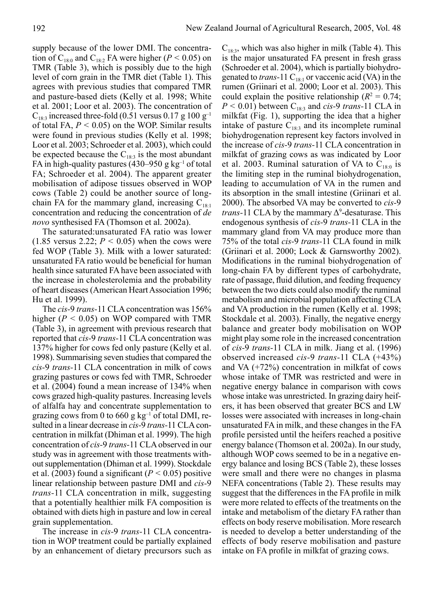supply because of the lower DMI. The concentration of C<sub>18:0</sub> and C<sub>18:2</sub> FA were higher ( $P < 0.05$ ) on TMR (Table 3), which is possibly due to the high level of corn grain in the TMR diet (Table 1). This agrees with previous studies that compared TMR and pasture-based diets (Kelly et al. 1998; White et al. 2001; Loor et al. 2003). The concentration of  $C_{18:3}$  increased three-fold (0.51 versus 0.17 g 100 g<sup>-1</sup> of total FA, *P <* 0.05) on the WOP. Similar results were found in previous studies (Kelly et al. 1998; Loor et al. 2003; Schroeder et al. 2003), which could be expected because the  $C_{18:3}$  is the most abundant FA in high-quality pastures (430–950 g kg<sup>-1</sup> of total FA; Schroeder et al. 2004). The apparent greater mobilisation of adipose tissues observed in WOP cows (Table 2) could be another source of longchain FA for the mammary gland, increasing  $C_{18:1}$ concentration and reducing the concentration of *de novo* synthesised FA (Thomson et al. 2002a).

 The saturated:unsaturated FA ratio was lower  $(1.85$  versus 2.22;  $P < 0.05$ ) when the cows were fed WOP (Table 3). Milk with a lower saturated: unsaturated FA ratio would be beneficial for human health since saturated FA have been associated with the increase in cholesterolemia and the probability of heart diseases (American Heart Association 1996; Hu et al. 1999).

 The *cis-*9 *trans-*11 CLA concentration was 156% higher (*P <* 0.05) on WOP compared with TMR (Table 3), in agreement with previous research that reported that *cis-*9 *trans-*11 CLA concentration was 137% higher for cows fed only pasture (Kelly et al. 1998). Summarising seven studies that compared the *cis-*9 *trans-*11 CLA concentration in milk of cows grazing pastures or cows fed with TMR, Schroeder et al. (2004) found a mean increase of 134% when cows grazed high-quality pastures. Increasing levels of alfalfa hay and concentrate supplementation to grazing cows from 0 to 660 g  $kg^{-1}$  of total DMI, resulted in a linear decrease in *cis-*9 *trans-*11 CLA concentration in milkfat (Dhiman et al. 1999). The high concentration of *cis-*9 *trans-*11 CLA observed in our study was in agreement with those treatments without supplementation (Dhiman et al. 1999). Stockdale et al. (2003) found a significant (*P <* 0.05) positive linear relationship between pasture DMI and *cis-*9 *trans-*11 CLA concentration in milk, suggesting that a potentially healthier milk FA composition is obtained with diets high in pasture and low in cereal grain supplementation.

 The increase in *cis-*9 *trans-*11 CLA concentration in WOP treatment could be partially explained by an enhancement of dietary precursors such as

 $C_{18:3}$ , which was also higher in milk (Table 4). This is the major unsaturated FA present in fresh grass (Schroeder et al. 2004), which is partially biohydrogenated to *trans*-11  $C_{18:1}$  or vaccenic acid (VA) in the rumen (Griinari et al. 2000; Loor et al. 2003). This could explain the positive relationship  $(R^2 = 0.74)$ ;  $P < 0.01$ ) between C<sub>18:3</sub> and *cis-9 trans-*11 CLA in milkfat (Fig. 1), supporting the idea that a higher intake of pasture  $C_{183}$  and its incomplete ruminal biohydrogenation represent key factors involved in the increase of *cis-*9 *trans-*11 CLA concentration in milkfat of grazing cows as was indicated by Loor et al. 2003. Ruminal saturation of VA to  $C_{180}$  is the limiting step in the ruminal biohydrogenation, leading to accumulation of VA in the rumen and its absorption in the small intestine (Griinari et al. 2000). The absorbed VA may be converted to *cis-*9 *trans*-11 CLA by the mammary  $\Delta^9$ -desaturase. This endogenous synthesis of *cis-*9 *trans-*11 CLA in the mammary gland from VA may produce more than 75% of the total *cis-*9 *trans-*11 CLA found in milk (Griinari et al. 2000; Lock & Garnsworthy 2002). Modifications in the ruminal biohydrogenation of long-chain FA by different types of carbohydrate, rate of passage, fluid dilution, and feeding frequency between the two diets could also modify the ruminal metabolism and microbial population affecting CLA and VA production in the rumen (Kelly et al. 1998; Stockdale et al. 2003). Finally, the negative energy balance and greater body mobilisation on WOP might play some role in the increased concentration of *cis-*9 *trans-*11 CLA in milk. Jiang et al. (1996) observed increased *cis-*9 *trans-*11 CLA (+43%) and VA (+72%) concentration in milkfat of cows whose intake of TMR was restricted and were in negative energy balance in comparison with cows whose intake was unrestricted. In grazing dairy heifers, it has been observed that greater BCS and LW losses were associated with increases in long-chain unsaturated FA in milk, and these changes in the FA profile persisted until the heifers reached a positive energy balance (Thomson et al. 2002a). In our study, although WOP cows seemed to be in a negative energy balance and losing BCS (Table 2), these losses were small and there were no changes in plasma NEFA concentrations (Table 2). These results may suggest that the differences in the FA profile in milk were more related to effects of the treatments on the intake and metabolism of the dietary FA rather than effects on body reserve mobilisation. More research is needed to develop a better understanding of the effects of body reserve mobilisation and pasture intake on FA profile in milkfat of grazing cows.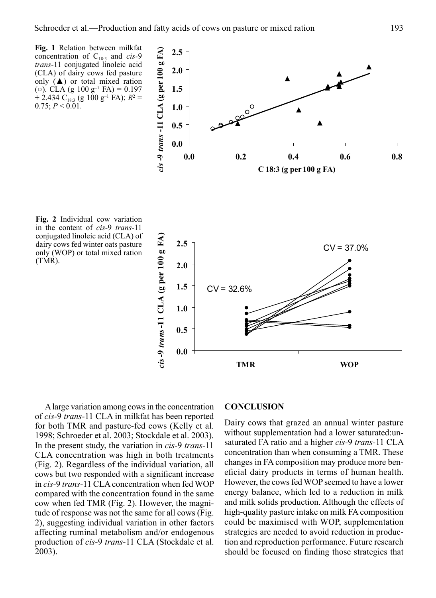

 A large variation among cows in the concentration of *cis-*9 *trans-*11 CLA in milkfat has been reported for both TMR and pasture-fed cows (Kelly et al. 1998; Schroeder et al. 2003; Stockdale et al. 2003). In the present study, the variation in *cis-*9 *trans-*11 CLA concentration was high in both treatments (Fig. 2). Regardless of the individual variation, all cows but two responded with a significant increase in *cis-*9 *trans-*11 CLA concentration when fed WOP compared with the concentration found in the same cow when fed TMR (Fig. 2). However, the magnitude of response was not the same for all cows (Fig. 2), suggesting individual variation in other factors affecting ruminal metabolism and/or endogenous production of *cis-*9 *trans-*11 CLA (Stockdale et al. 2003).

## **CONCLUSION**

Dairy cows that grazed an annual winter pasture without supplementation had a lower saturated: unsaturated FA ratio and a higher *cis-*9 *trans-*11 CLA concentration than when consuming a TMR. These changes in FA composition may produce more beneficial dairy products in terms of human health. However, the cows fed WOP seemed to have a lower energy balance, which led to a reduction in milk and milk solids production. Although the effects of high-quality pasture intake on milk FA composition could be maximised with WOP, supplementation strategies are needed to avoid reduction in production and reproduction performance. Future research should be focused on finding those strategies that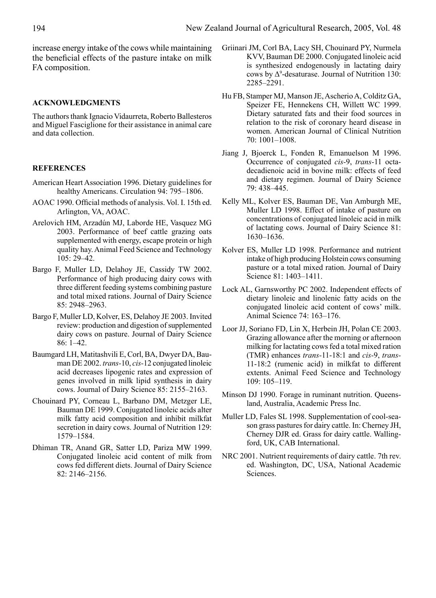increase energy intake of the cows while maintaining the beneficial effects of the pasture intake on milk FA composition.

## **ACKNOWLEDGMENTS**

The authors thank Ignacio Vidaurreta, Roberto Ballesteros and Miguel Fasciglione for their assistance in animal care and data collection.

## **REFERENCES**

- American Heart Association 1996. Dietary guidelines for healthy Americans. Circulation 94: 795–1806.
- AOAC 1990. Official methods of analysis. Vol. I. 15th ed. Arlington, VA, AOAC.
- Arelovich HM, Arzadún MJ, Laborde HE, Vasquez MG 2003. Performance of beef cattle grazing oats supplemented with energy, escape protein or high quality hay. Animal Feed Science and Technology  $105: 29 - 42$ .
- Bargo F, Muller LD, Delahoy JE, Cassidy TW 2002. Performance of high producing dairy cows with three different feeding systems combining pasture and total mixed rations. Journal of Dairy Science 85: 2948–2963.
- Bargo F, Muller LD, Kolver, ES, Delahoy JE 2003. Invited review: production and digestion of supplemented dairy cows on pasture. Journal of Dairy Science 86: 1–42.
- Baumgard LH, Matitashvili E, Corl, BA, Dwyer DA, Bauman DE 2002. *trans-*10, *cis-*12 conjugated linoleic acid decreases lipogenic rates and expression of genes involved in milk lipid synthesis in dairy cows. Journal of Dairy Science 85: 2155–2163.
- Chouinard PY, Corneau L, Barbano DM, Metzger LE, Bauman DE 1999. Conjugated linoleic acids alter milk fatty acid composition and inhibit milkfat secretion in dairy cows. Journal of Nutrition 129: 1579–1584.
- Dhiman TR, Anand GR, Satter LD, Pariza MW 1999. Conjugated linoleic acid content of milk from cows fed different diets. Journal of Dairy Science 82: 2146–2156.
- Griinari JM, Corl BA, Lacy SH, Chouinard PY, Nurmela KVV, Bauman DE 2000. Conjugated linoleic acid is synthesized endogenously in lactating dairy cows by  $\Delta^9$ -desaturase. Journal of Nutrition 130: 2285–2291.
- Hu FB, Stamper MJ, Manson JE, Ascherio A, Colditz GA, Speizer FE, Hennekens CH, Willett WC 1999. Dietary saturated fats and their food sources in relation to the risk of coronary heard disease in women. American Journal of Clinical Nutrition 70: 1001–1008.
- Jiang J, Bjoerck L, Fonden R, Emanuelson M 1996. Occurrence of conjugated *cis-*9, *trans-*11 octadecadienoic acid in bovine milk: effects of feed and dietary regimen. Journal of Dairy Science 79: 438–445.
- Kelly ML, Kolver ES, Bauman DE, Van Amburgh ME, Muller LD 1998. Effect of intake of pasture on concentrations of conjugated linoleic acid in milk of lactating cows. Journal of Dairy Science 81: 1630–1636.
- Kolver ES, Muller LD 1998. Performance and nutrient intake of high producing Holstein cows consuming pasture or a total mixed ration. Journal of Dairy Science 81: 1403–1411.
- Lock AL, Garnsworthy PC 2002. Independent effects of dietary linoleic and linolenic fatty acids on the conjugated linoleic acid content of cows' milk. Animal Science 74: 163–176.
- Loor JJ, Soriano FD, Lin X, Herbein JH, Polan CE 2003. Grazing allowance after the morning or afternoon milking for lactating cows fed a total mixed ration (TMR) enhances *trans-*11-18:1 and *cis-*9, *trans-*11-18:2 (rumenic acid) in milkfat to different extents. Animal Feed Science and Technology 109: 105–119.
- Minson DJ 1990. Forage in ruminant nutrition. Queensland, Australia, Academic Press Inc.
- Muller LD, Fales SL 1998. Supplementation of cool-season grass pastures for dairy cattle. In: Cherney JH, Cherney DJR ed. Grass for dairy cattle. Wallingford, UK, CAB International.
- NRC 2001. Nutrient requirements of dairy cattle. 7th rev. ed. Washington, DC, USA, National Academic Sciences.